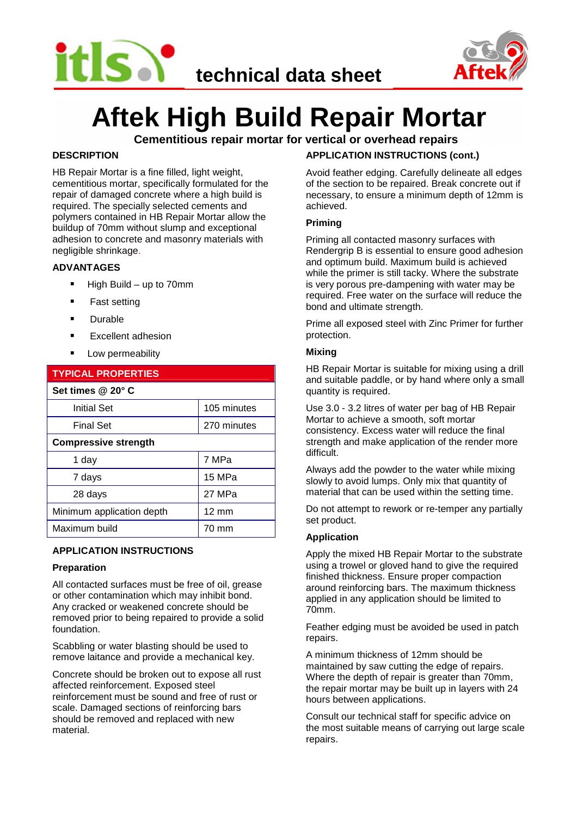



# **Aftek High Build Repair Mortar**

**Cementitious repair mortar for vertical or overhead repairs**

# **DESCRIPTION**

HB Repair Mortar is a fine filled, light weight, cementitious mortar, specifically formulated for the repair of damaged concrete where a high build is required. The specially selected cements and polymers contained in HB Repair Mortar allow the buildup of 70mm without slump and exceptional adhesion to concrete and masonry materials with negligible shrinkage.

# **ADVANTAGES**

- $\blacksquare$  High Build up to 70mm
- **Fast setting**
- **Durable**
- **Excellent adhesion**
- **Low permeability**

| <b>TYPICAL PROPERTIES</b>   |                 |
|-----------------------------|-----------------|
| Set times @ 20° C           |                 |
| <b>Initial Set</b>          | 105 minutes     |
| <b>Final Set</b>            | 270 minutes     |
| <b>Compressive strength</b> |                 |
| 1 day                       | 7 MPa           |
| 7 days                      | 15 MPa          |
| 28 days                     | 27 MPa          |
| Minimum application depth   | $12 \text{ mm}$ |
| Maximum build               | 70 mm           |

# **APPLICATION INSTRUCTIONS**

## **Preparation**

All contacted surfaces must be free of oil, grease or other contamination which may inhibit bond. Any cracked or weakened concrete should be removed prior to being repaired to provide a solid foundation.

Scabbling or water blasting should be used to remove laitance and provide a mechanical key.

Concrete should be broken out to expose all rust affected reinforcement. Exposed steel reinforcement must be sound and free of rust or scale. Damaged sections of reinforcing bars should be removed and replaced with new material.

# **APPLICATION INSTRUCTIONS (cont.)**

Avoid feather edging. Carefully delineate all edges of the section to be repaired. Break concrete out if necessary, to ensure a minimum depth of 12mm is achieved.

## **Priming**

Priming all contacted masonry surfaces with Rendergrip B is essential to ensure good adhesion and optimum build. Maximum build is achieved while the primer is still tacky. Where the substrate is very porous pre-dampening with water may be required. Free water on the surface will reduce the bond and ultimate strength.

Prime all exposed steel with Zinc Primer for further protection.

## **Mixing**

HB Repair Mortar is suitable for mixing using a drill and suitable paddle, or by hand where only a small quantity is required.

Use 3.0 - 3.2 litres of water per bag of HB Repair Mortar to achieve a smooth, soft mortar consistency. Excess water will reduce the final strength and make application of the render more difficult.

Always add the powder to the water while mixing slowly to avoid lumps. Only mix that quantity of material that can be used within the setting time.

Do not attempt to rework or re-temper any partially set product.

## **Application**

Apply the mixed HB Repair Mortar to the substrate using a trowel or gloved hand to give the required finished thickness. Ensure proper compaction around reinforcing bars. The maximum thickness applied in any application should be limited to 70mm.

Feather edging must be avoided be used in patch repairs.

A minimum thickness of 12mm should be maintained by saw cutting the edge of repairs. Where the depth of repair is greater than 70mm, the repair mortar may be built up in layers with 24 hours between applications.

Consult our technical staff for specific advice on the most suitable means of carrying out large scale repairs.